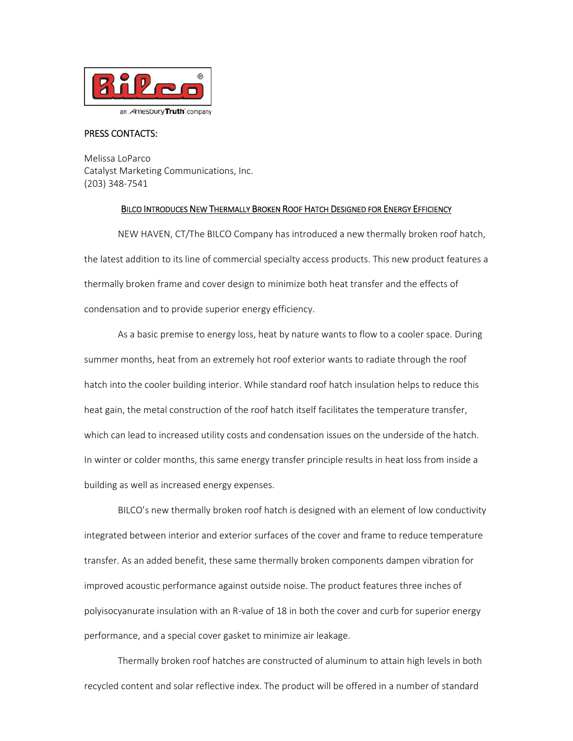

## PRESS CONTACTS:

Melissa LoParco Catalyst Marketing Communications, Inc. (203) 348‐7541

## BILCO INTRODUCES NEW THERMALLY BROKEN ROOF HATCH DESIGNED FOR ENERGY EFFICIENCY

NEW HAVEN, CT/The BILCO Company has introduced a new thermally broken roof hatch, the latest addition to its line of commercial specialty access products. This new product features a thermally broken frame and cover design to minimize both heat transfer and the effects of condensation and to provide superior energy efficiency.

As a basic premise to energy loss, heat by nature wants to flow to a cooler space. During summer months, heat from an extremely hot roof exterior wants to radiate through the roof hatch into the cooler building interior. While standard roof hatch insulation helps to reduce this heat gain, the metal construction of the roof hatch itself facilitates the temperature transfer, which can lead to increased utility costs and condensation issues on the underside of the hatch. In winter or colder months, this same energy transfer principle results in heat loss from inside a building as well as increased energy expenses.

BILCO's new thermally broken roof hatch is designed with an element of low conductivity integrated between interior and exterior surfaces of the cover and frame to reduce temperature transfer. As an added benefit, these same thermally broken components dampen vibration for improved acoustic performance against outside noise. The product features three inches of polyisocyanurate insulation with an R‐value of 18 in both the cover and curb for superior energy performance, and a special cover gasket to minimize air leakage.

Thermally broken roof hatches are constructed of aluminum to attain high levels in both recycled content and solar reflective index. The product will be offered in a number of standard